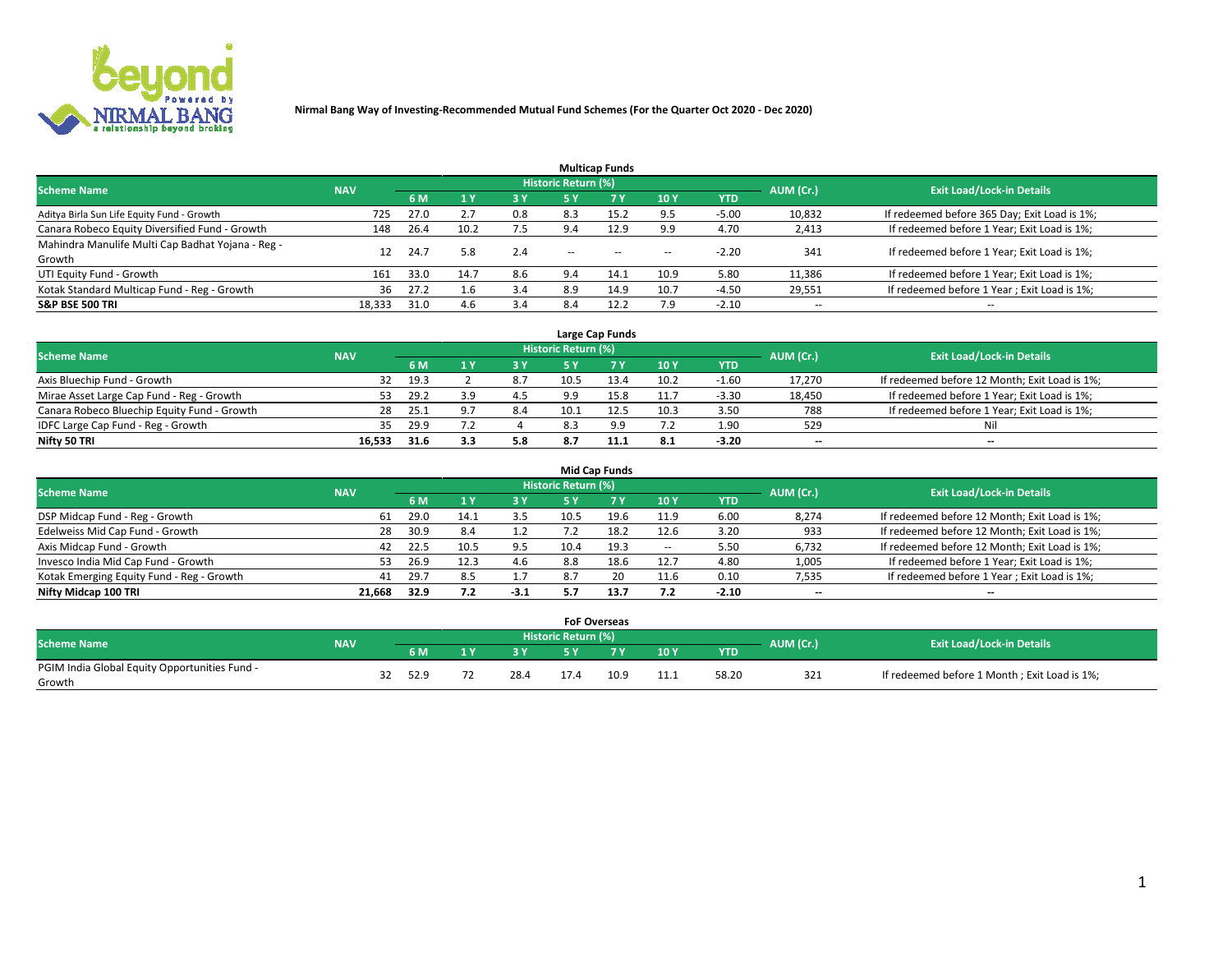

|                                                   |            |      |      |           |                            | <b>Multicap Funds</b> |        |         |                          |                                              |
|---------------------------------------------------|------------|------|------|-----------|----------------------------|-----------------------|--------|---------|--------------------------|----------------------------------------------|
| <b>Scheme Name</b>                                | <b>NAV</b> |      |      |           | <b>Historic Return (%)</b> |                       |        |         | AUM (Cr.)                | <b>Exit Load/Lock-in Details</b>             |
|                                                   |            | 6 M  | 1 Y  | <b>3Y</b> | <b>5 Y</b>                 | 7Y                    | 10Y    | YTD     |                          |                                              |
| Aditya Birla Sun Life Equity Fund - Growth        | 725        | 27.0 | 2.7  | 0.8       | 8.3                        | 15.2                  | 9.5    | $-5.00$ | 10,832                   | If redeemed before 365 Day; Exit Load is 1%; |
| Canara Robeco Equity Diversified Fund - Growth    | 148        | 26.4 | 10.2 | 7.5       | 9.4                        | 12.9                  | 9.9    | 4.70    | 2,413                    | If redeemed before 1 Year; Exit Load is 1%;  |
| Mahindra Manulife Multi Cap Badhat Yojana - Reg - | 12         | 24.7 | 5.8  | 2.4       | $-$                        | $\sim$                | $\sim$ | $-2.20$ | 341                      | If redeemed before 1 Year; Exit Load is 1%;  |
| Growth                                            |            |      |      |           |                            |                       |        |         |                          |                                              |
| UTI Equity Fund - Growth                          | 161        | 33.0 | 14.7 | 8.6       | 9.4                        | 14.1                  | 10.9   | 5.80    | 11,386                   | If redeemed before 1 Year; Exit Load is 1%;  |
| Kotak Standard Multicap Fund - Reg - Growth       | 36         | 27.2 | ⊥.b  | 3.4       | 8.9                        | 14.9                  | 10.7   | $-4.50$ | 29,551                   | If redeemed before 1 Year; Exit Load is 1%;  |
| <b>S&amp;P BSE 500 TRI</b>                        | 18.333     | 31.0 | 4.6  | 3.4       | 8.4                        |                       | 7.9    | $-2.10$ | $\overline{\phantom{a}}$ | $\overline{\phantom{a}}$                     |

|                                             |            |      |      |     |                     | Large Cap Funds |      |            |           |                                               |
|---------------------------------------------|------------|------|------|-----|---------------------|-----------------|------|------------|-----------|-----------------------------------------------|
| <b>Scheme Name</b>                          | <b>NAV</b> |      |      |     | Historic Return (%) |                 |      |            | AUM (Cr.) | <b>Exit Load/Lock-in Details</b>              |
|                                             |            | 6 M  |      | 3 Y | 5 ٧                 |                 | 10Y  | <b>YTD</b> |           |                                               |
| Axis Bluechip Fund - Growth                 | 32         | 19.3 |      | 8.7 | 10.5                | 13.4            | 10.2 | $-1.60$    | 17,270    | If redeemed before 12 Month; Exit Load is 1%; |
| Mirae Asset Large Cap Fund - Reg - Growth   | 53         | 29.2 |      | 4.5 | 9.9                 | 5.8ء            | 11.7 | $-3.30$    | 18,450    | If redeemed before 1 Year; Exit Load is 1%;   |
| Canara Robeco Bluechip Equity Fund - Growth | 28         | 25.1 | -9.7 | 8.4 | 10.1                |                 | 10.3 | 3.50       | 788       | If redeemed before 1 Year; Exit Load is 1%;   |
| IDFC Large Cap Fund - Reg - Growth          | 35         | 29.9 |      |     | 8.3                 | 9.9             | 7.2  | 1.90       | 529       | Nil                                           |
| Nifty 50 TRI                                | 16.533     | 31.6 | 3.3  | 5.8 | 8.7                 |                 | -8.1 | $-3.20$    | $- -$     | $- -$                                         |

|                                           |            |      |      |           |                            | <b>Mid Cap Funds</b> |                   |         |           |                                               |
|-------------------------------------------|------------|------|------|-----------|----------------------------|----------------------|-------------------|---------|-----------|-----------------------------------------------|
| <b>Scheme Name</b>                        | <b>NAV</b> |      |      |           | <b>Historic Return (%)</b> |                      |                   |         | AUM (Cr.) | <b>Exit Load/Lock-in Details</b>              |
|                                           |            | 6 M  |      | <b>3Y</b> | <b>5 Y</b>                 |                      | <b>10Y</b>        | YTD     |           |                                               |
| DSP Midcap Fund - Reg - Growth            | 61         | 29.0 | 14.1 | 3.5       | 10.5                       | 19.6                 | 11.9              | 6.00    | 8,274     | If redeemed before 12 Month; Exit Load is 1%; |
| Edelweiss Mid Cap Fund - Growth           | 28         | 30.9 | 8.4  | 1.2       |                            | 18.2                 | 12.6              | 3.20    | 933       | If redeemed before 12 Month; Exit Load is 1%; |
| Axis Midcap Fund - Growth                 | 42         | 22.5 | 10.5 | 9.5       | 10.4                       | 19.3                 | $\hspace{0.05cm}$ | 5.50    | 6,732     | If redeemed before 12 Month; Exit Load is 1%; |
| Invesco India Mid Cap Fund - Growth       | 53         | 26.9 | 12.3 | 4.6       | 8.8                        | 18.6                 | 12.7              | 4.80    | 1,005     | If redeemed before 1 Year; Exit Load is 1%;   |
| Kotak Emerging Equity Fund - Reg - Growth | 41         | 29.7 | 8.5  | 1.7       | 8.7                        | 20                   | 11.6              | 0.10    | 7,535     | If redeemed before 1 Year; Exit Load is 1%;   |
| Nifty Midcap 100 TRI                      | 21.668     | 32.9 | 7.2  | $-3.1$    | 5.7                        | 13.7                 | 7.2               | $-2.10$ | $- -$     | $\overline{\phantom{a}}$                      |

|                                               |            |      |      | <b>FoF Overseas</b> |                |      |            |           |                                              |
|-----------------------------------------------|------------|------|------|---------------------|----------------|------|------------|-----------|----------------------------------------------|
| <b>Scheme Name</b>                            | <b>NAV</b> |      |      | Historic Return (%) |                |      |            | AUM (Cr.) | <b>Exit Load/Lock-in Details</b>             |
|                                               |            | 6 M  |      | <b>EV</b>           | 7 <sub>2</sub> | 10Y  | <b>YTD</b> |           |                                              |
| PGIM India Global Equity Opportunities Fund - |            |      |      |                     |                |      |            |           |                                              |
| Growth                                        |            | 52.9 | 28.4 |                     | 10.9           | 11.1 | 58.20      | 321       | If redeemed before 1 Month; Exit Load is 1%; |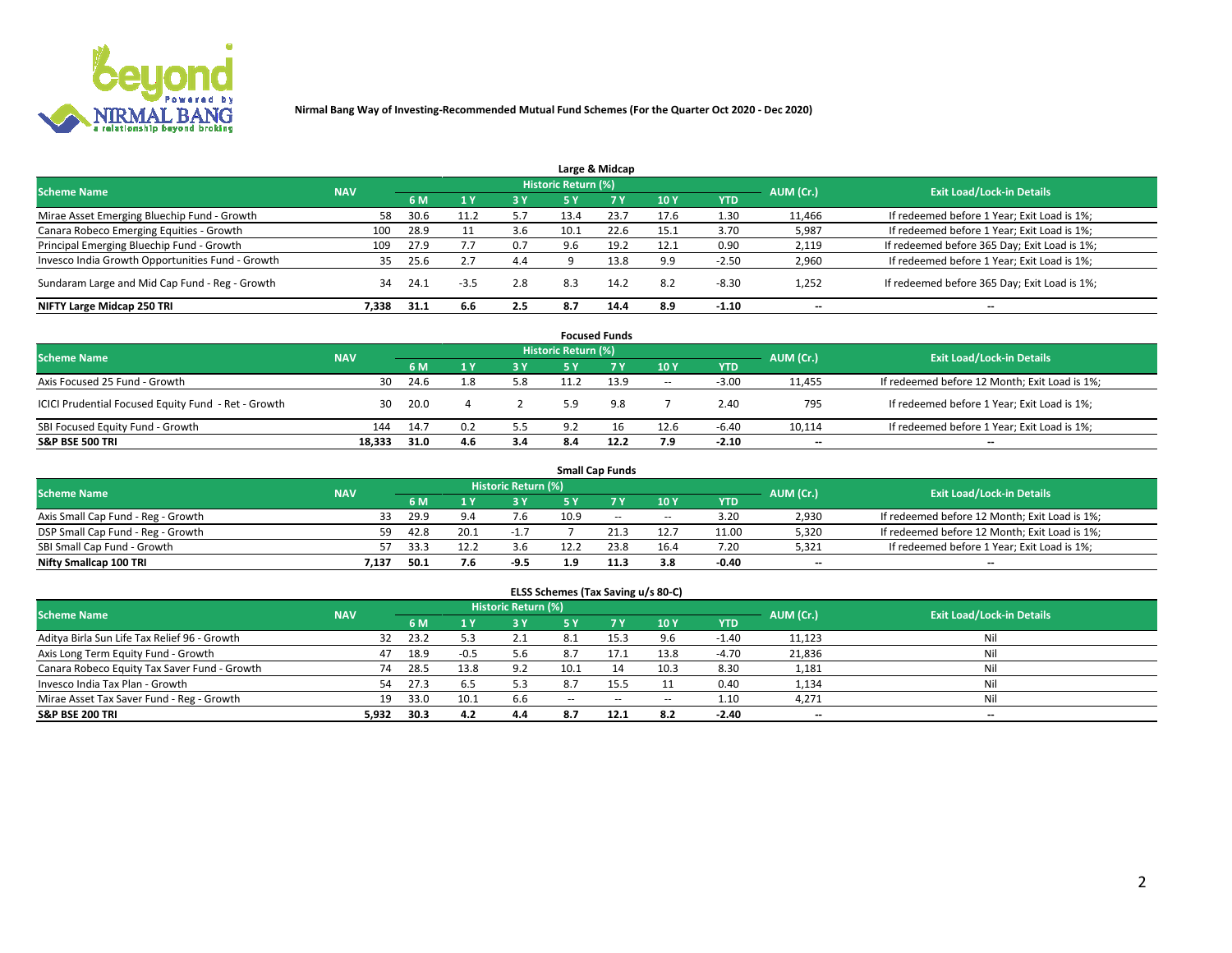

|                                                  |            |      |        |     |                     | Large & Midcap |      |            |                          |                                              |
|--------------------------------------------------|------------|------|--------|-----|---------------------|----------------|------|------------|--------------------------|----------------------------------------------|
| <b>Scheme Name</b>                               | <b>NAV</b> |      |        |     | Historic Return (%) |                |      |            | AUM (Cr.)                | <b>Exit Load/Lock-in Details</b>             |
|                                                  |            | 6 M  |        | 3 Y | <b>5 Y</b>          | 7Y             | 10Y  | <b>YTD</b> |                          |                                              |
| Mirae Asset Emerging Bluechip Fund - Growth      | 58         | 30.6 |        |     | 13.4                | 23.7           | 17.6 | 1.30       | 11,466                   | If redeemed before 1 Year; Exit Load is 1%;  |
| Canara Robeco Emerging Equities - Growth         | 100        | 28.9 |        | 3.6 | 10.1                | 22.6           | 15.1 | 3.70       | 5,987                    | If redeemed before 1 Year; Exit Load is 1%;  |
| Principal Emerging Bluechip Fund - Growth        | 109        | 27.9 |        | 0.7 | 9.6                 | 19.2           | 12.1 | 0.90       | 2,119                    | If redeemed before 365 Day; Exit Load is 1%; |
| Invesco India Growth Opportunities Fund - Growth | 35         | 25.6 |        | 4.4 |                     | 13.8           | 9.9  | $-2.50$    | 2,960                    | If redeemed before 1 Year; Exit Load is 1%;  |
| Sundaram Large and Mid Cap Fund - Reg - Growth   | 34         | 24.1 | $-3.5$ | 2.8 | 8.3                 | 14.2           | 8.2  | $-8.30$    | 1,252                    | If redeemed before 365 Day; Exit Load is 1%; |
| NIFTY Large Midcap 250 TRI                       | 7.338      | 31.1 | 6.6    | 2.5 | 8.7                 | 14.4           | 8.9  | $-1.10$    | $\overline{\phantom{a}}$ | --                                           |

|                                                     |            |      |     |       |                            | <b>Focused Funds</b> |       |            |                          |                                               |
|-----------------------------------------------------|------------|------|-----|-------|----------------------------|----------------------|-------|------------|--------------------------|-----------------------------------------------|
| <b>Scheme Name</b>                                  | <b>NAV</b> |      |     |       | <b>Historic Return (%)</b> |                      |       |            | AUM (Cr.)                | <b>Exit Load/Lock-in Details</b>              |
|                                                     |            | 6 M  |     | 73 Y. | 5 Y                        | <b>7Y</b>            | 10 Y  | <b>YTD</b> |                          |                                               |
| Axis Focused 25 Fund - Growth                       | 30         | 24.6 | 1.8 | 5.8   | 11.2                       | 13.9                 | $\!-$ | $-3.00$    | 11.455                   | If redeemed before 12 Month; Exit Load is 1%; |
| ICICI Prudential Focused Equity Fund - Ret - Growth | 30         | 20.0 | 4   |       | 5.9                        | 9.8                  |       | 2.40       | 795                      | If redeemed before 1 Year; Exit Load is 1%;   |
| SBI Focused Equity Fund - Growth                    | 144        | 14.7 | 0.2 | 5.5   | 9.2                        | 16                   | 12.6  | -6.40      | 10,114                   | If redeemed before 1 Year; Exit Load is 1%;   |
| <b>S&amp;P BSE 500 TRI</b>                          | 18.333     | 31.0 | 4.6 | 3.4   | 8.4                        | 12.2                 | 7.9   | $-2.10$    | $\overline{\phantom{m}}$ | $- -$                                         |

|                                    |            |      |                |                            |      | <b>Small Cap Funds</b> |                          |       |           |                                               |
|------------------------------------|------------|------|----------------|----------------------------|------|------------------------|--------------------------|-------|-----------|-----------------------------------------------|
| <b>Scheme Name</b>                 | <b>NAV</b> |      |                | <b>Historic Return (%)</b> |      |                        |                          |       | AUM (Cr.) | <b>Exit Load/Lock-in Details</b>              |
|                                    |            | 6 M  |                | 3 Y                        |      |                        | 10Y                      | YTD   |           |                                               |
| Axis Small Cap Fund - Reg - Growth | 33.        | 29.9 | 9 <sub>4</sub> | 7.6                        | 10.9 | $- -$                  | $\overline{\phantom{a}}$ | 3.20  | 2,930     | If redeemed before 12 Month; Exit Load is 1%; |
| DSP Small Cap Fund - Reg - Growth  | 59.        | 42.8 |                | $-1.1$                     |      | 21.3                   | 12.7                     | 11.00 | 5,320     | If redeemed before 12 Month; Exit Load is 1%; |
| SBI Small Cap Fund - Growth        | 57         | 33.3 |                | 3.6                        |      | 23.8                   | 16.4                     | 7.20  | 5,321     | If redeemed before 1 Year; Exit Load is 1%;   |
| Nifty Smallcap 100 TRI             | 7.137      | 50.1 | 7.6            | $-9.5$                     | 1.9  | 11.3                   | 3.8                      | -0.40 | $- -$     | $\overline{\phantom{a}}$                      |

|       |            |        |           |        |                            |                          |            |                          | <b>Exit Load/Lock-in Details</b> |
|-------|------------|--------|-----------|--------|----------------------------|--------------------------|------------|--------------------------|----------------------------------|
|       | 6 M        |        | <b>3Y</b> | 5 Y    | <b>7Y</b>                  | 10Y                      | <b>YTD</b> |                          |                                  |
| 32    | 23.2       |        | 2.1       | -8.1   | 15.3                       | 9.6                      | $-1.40$    | 11,123                   | Nil                              |
| 47    | 18.9       | $-0.5$ | 5.6       | 8.7    | 17.1                       | 13.8                     | $-4.70$    | 21,836                   | Nil                              |
| 74    | 28.5       | 13.8   | 9.2       | 10.1   |                            | 10.3                     | 8.30       | 1,181                    | Nil                              |
| 54    | 27.3       | 6.5    | 5.3       | 8.7    | 15.5                       |                          | 0.40       | 1,134                    | Nil                              |
| 19    | 33.0       | 10.1   | 6.6       | $\sim$ | $-$                        | $\overline{\phantom{a}}$ | 1.10       | 4,271                    | Nil                              |
| 5,932 | 30.3       | 4.2    | 4.4       | 8.7    | 12.1                       | 8.2                      | $-2.40$    | $\overline{\phantom{a}}$ | $\overline{\phantom{a}}$         |
|       | <b>NAV</b> |        |           |        | <b>Historic Return (%)</b> |                          |            |                          | AUM (Cr.)                        |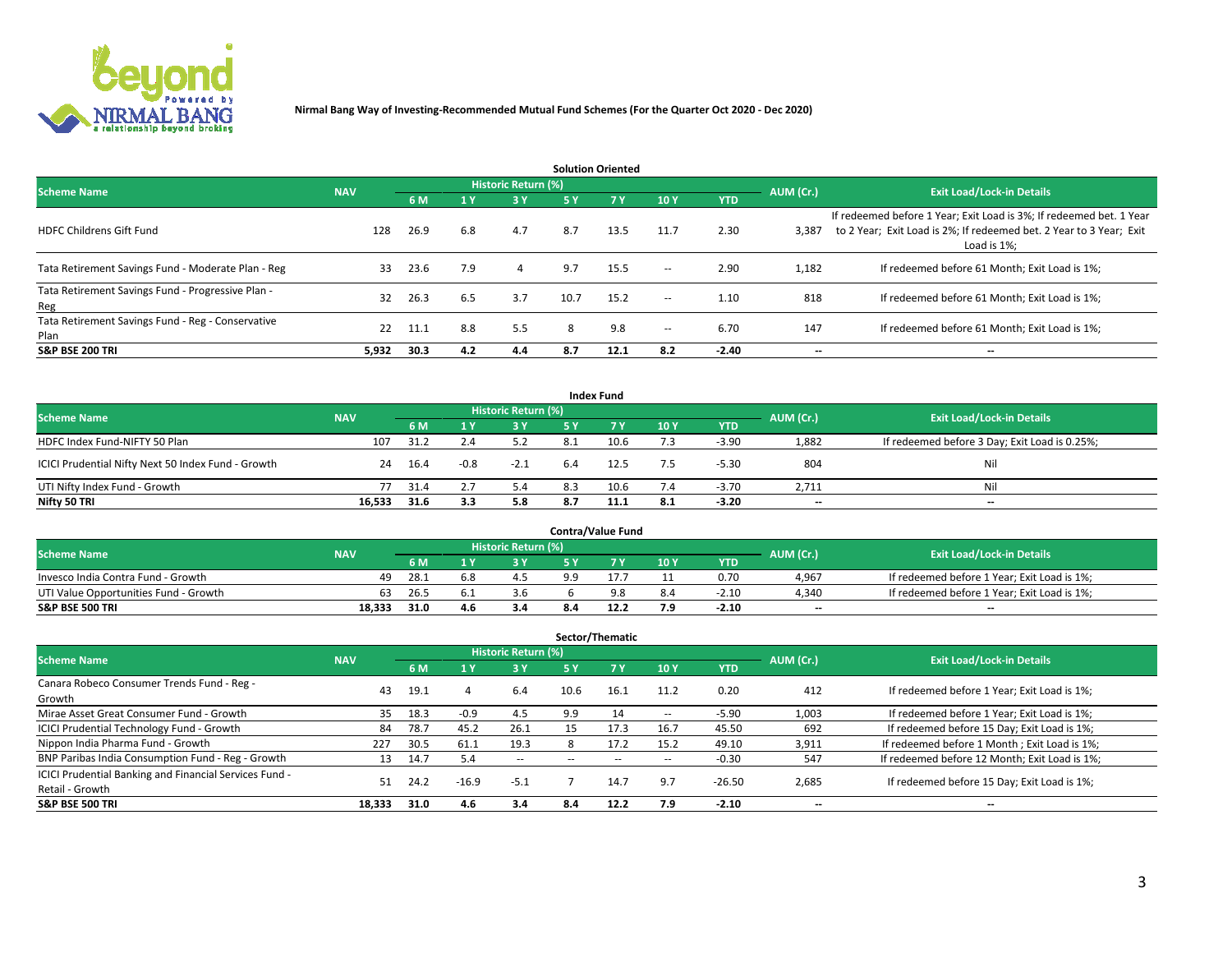

| <b>Solution Oriented</b>                                  |            |      |                       |                     |      |           |                          |            |                          |                                                                                                                                                           |  |  |
|-----------------------------------------------------------|------------|------|-----------------------|---------------------|------|-----------|--------------------------|------------|--------------------------|-----------------------------------------------------------------------------------------------------------------------------------------------------------|--|--|
| <b>Scheme Name</b>                                        | <b>NAV</b> |      |                       | Historic Return (%) |      |           |                          |            | AUM (Cr.)                | <b>Exit Load/Lock-in Details</b>                                                                                                                          |  |  |
|                                                           |            | 6 M  | $\sqrt{1}$ $\sqrt{7}$ | 3 Y                 | 5 Y  | <b>7Y</b> | 10Y                      | <b>YTD</b> |                          |                                                                                                                                                           |  |  |
| <b>HDFC Childrens Gift Fund</b>                           | 128        | 26.9 | 6.8                   | 4.7                 | 8.7  | 13.5      | 11.7                     | 2.30       | 3,387                    | If redeemed before 1 Year; Exit Load is 3%; If redeemed bet. 1 Year<br>to 2 Year; Exit Load is 2%; If redeemed bet. 2 Year to 3 Year; Exit<br>Load is 1%: |  |  |
| Tata Retirement Savings Fund - Moderate Plan - Reg        | 33         | 23.6 | 7.9                   | 4                   | 9.7  | 15.5      | $\overline{\phantom{a}}$ | 2.90       | 1,182                    | If redeemed before 61 Month; Exit Load is 1%;                                                                                                             |  |  |
| Tata Retirement Savings Fund - Progressive Plan -<br>Reg  | 32         | 26.3 | 6.5                   | 3.7                 | 10.7 | 15.2      | $\overline{\phantom{a}}$ | 1.10       | 818                      | If redeemed before 61 Month; Exit Load is 1%;                                                                                                             |  |  |
| Tata Retirement Savings Fund - Reg - Conservative<br>Plan | 22         | 11.1 | 8.8                   | 5.5                 | 8    | 9.8       | $\overline{\phantom{a}}$ | 6.70       | 147                      | If redeemed before 61 Month; Exit Load is 1%;                                                                                                             |  |  |
| <b>S&amp;P BSE 200 TRI</b>                                | 5,932      | 30.3 | 4.2                   | 4.4                 | 8.7  | 12.1      | 8.2                      | $-2.40$    | $\overline{\phantom{a}}$ | $\overline{\phantom{a}}$                                                                                                                                  |  |  |

|                                                    |            |      |              |                     |     | <b>Index Fund</b> |     |            |           |                                               |
|----------------------------------------------------|------------|------|--------------|---------------------|-----|-------------------|-----|------------|-----------|-----------------------------------------------|
| <b>Scheme Name</b>                                 | <b>NAV</b> |      |              | Historic Return (%) |     |                   |     |            | AUM (Cr.) | <b>Exit Load/Lock-in Details</b>              |
|                                                    |            | 6 M  | $\sqrt{1}$ Y | <b>3Y</b>           | 5 Y | <b>7 Y</b>        | 10Y | <b>YTD</b> |           |                                               |
| HDFC Index Fund-NIFTY 50 Plan                      | 107        | 31.2 | 2.4          | 5.2                 | 8.1 | 10.6              | 7.3 | $-3.90$    | 1,882     | If redeemed before 3 Day; Exit Load is 0.25%; |
| ICICI Prudential Nifty Next 50 Index Fund - Growth | 24         | 16.4 | $-0.8$       | $-2.1$              | 6.4 | 12.5              | 7.5 | $-5.30$    | 804       | Nil                                           |
| UTI Nifty Index Fund - Growth                      | 77         | 31.4 |              | 5.4                 | 8.3 | 10.6              | 7.4 | $-3.70$    | 2,711     | Nil                                           |
| Nifty 50 TRI                                       | 16,533     | 31.6 | 3.3          | 5.8                 | 8.7 | 11.1              | 8.1 | $-3.20$    | $- -$     | $\overline{\phantom{a}}$                      |

| <b>Contra/Value Fund</b>              |            |      |     |                     |     |      |     |            |           |                                             |  |  |
|---------------------------------------|------------|------|-----|---------------------|-----|------|-----|------------|-----------|---------------------------------------------|--|--|
| <b>Scheme Name</b>                    | <b>NAV</b> |      |     | Historic Return (%) |     |      |     |            | AUM (Cr.) | <b>Exit Load/Lock-in Details</b>            |  |  |
|                                       |            | 6 M  |     | 3 Y                 |     | 7 V  | 10Y | <b>YTD</b> |           |                                             |  |  |
| Invesco India Contra Fund - Growth    | 49         | -28. | 6.8 | 4.5                 | a a |      |     | 0.70       | 4,967     | If redeemed before 1 Year; Exit Load is 1%; |  |  |
| UTI Value Opportunities Fund - Growth | 63         | 26.5 |     | 3.b                 |     |      | 8.4 | $-2.10$    | 4.340     | If redeemed before 1 Year; Exit Load is 1%; |  |  |
| <b>S&amp;P BSE 500 TRI</b>            | 18,333     | 31.0 | 4.6 | 3.4                 |     | 12.2 | 7.9 | $-2.10$    | $-$       | $- -$                                       |  |  |

| Sector/Thematic                                                           |            |      |                |                     |                          |      |                          |            |           |                                               |  |  |  |
|---------------------------------------------------------------------------|------------|------|----------------|---------------------|--------------------------|------|--------------------------|------------|-----------|-----------------------------------------------|--|--|--|
| <b>Scheme Name</b>                                                        | <b>NAV</b> |      |                | Historic Return (%) |                          |      |                          |            | AUM (Cr.) | <b>Exit Load/Lock-in Details</b>              |  |  |  |
|                                                                           |            | 6 M  | 1 <sub>Y</sub> | <b>3Y</b>           | 5 Y                      | 7 Y  | 10Y                      | <b>YTD</b> |           |                                               |  |  |  |
| Canara Robeco Consumer Trends Fund - Reg -<br>Growth                      | 43         | 19.1 | 4              | 6.4                 | 10.6                     | 16.1 | 11.2                     | 0.20       | 412       | If redeemed before 1 Year; Exit Load is 1%;   |  |  |  |
| Mirae Asset Great Consumer Fund - Growth                                  | 35         | 18.3 | $-0.9$         | 4.5                 | 9.9                      | 14   | $\overline{\phantom{a}}$ | $-5.90$    | 1,003     | If redeemed before 1 Year; Exit Load is 1%;   |  |  |  |
| ICICI Prudential Technology Fund - Growth                                 | 84         | 78.7 | 45.2           | 26.1                | 15                       | 17.3 | 16.7                     | 45.50      | 692       | If redeemed before 15 Day; Exit Load is 1%;   |  |  |  |
| Nippon India Pharma Fund - Growth                                         | 227        | 30.5 | 61.1           | 19.3                |                          | 17.2 | 15.2                     | 49.10      | 3,911     | If redeemed before 1 Month; Exit Load is 1%;  |  |  |  |
| BNP Paribas India Consumption Fund - Reg - Growth                         | 13         | 14.7 | 5.4            | $\sim$              | $\overline{\phantom{a}}$ | $-$  | $\!-$                    | $-0.30$    | 547       | If redeemed before 12 Month; Exit Load is 1%; |  |  |  |
| ICICI Prudential Banking and Financial Services Fund -<br>Retail - Growth | 51         | 24.2 | $-16.9$        | $-5.1$              |                          | 14.7 | 9.7                      | $-26.50$   | 2,685     | If redeemed before 15 Day; Exit Load is 1%;   |  |  |  |
| <b>S&amp;P BSE 500 TRI</b>                                                | 18,333     | 31.0 | 4.6            | 3.4                 | 8.4                      | 12.2 | 7.9                      | $-2.10$    | --        | --                                            |  |  |  |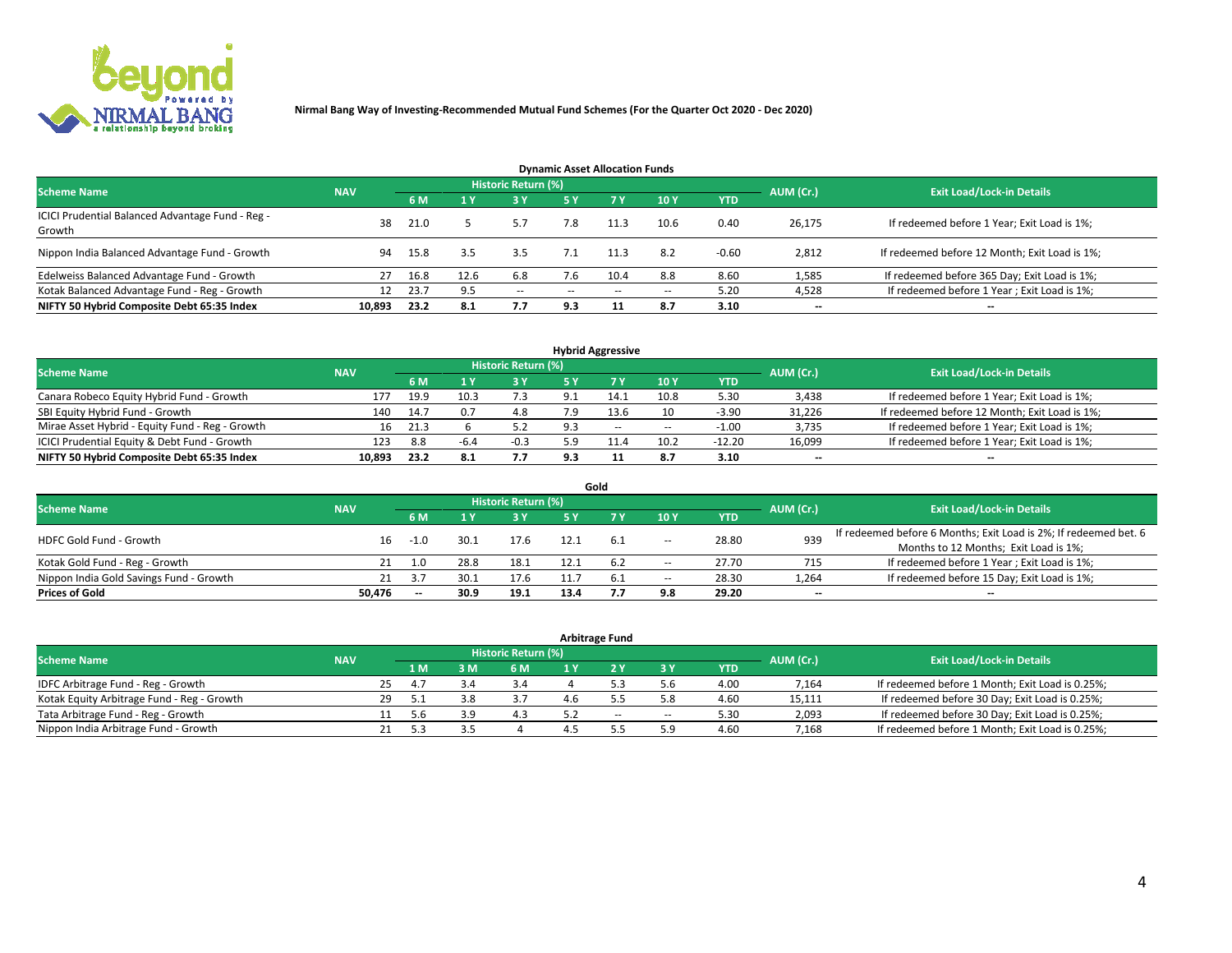

| <b>Dynamic Asset Allocation Funds</b>                      |            |      |      |                     |               |           |      |            |           |                                               |  |  |  |
|------------------------------------------------------------|------------|------|------|---------------------|---------------|-----------|------|------------|-----------|-----------------------------------------------|--|--|--|
| <b>Scheme Name</b>                                         | <b>NAV</b> |      |      | Historic Return (%) |               |           |      |            | AUM (Cr.) | <b>Exit Load/Lock-in Details</b>              |  |  |  |
|                                                            |            | 6 M  |      | 3 Y                 | 5 Y           | <b>7Y</b> | 10Y  | <b>YTD</b> |           |                                               |  |  |  |
| ICICI Prudential Balanced Advantage Fund - Reg -<br>Growth | 38         | 21.0 |      | 5.7                 | 7.8           | 11.3      | 10.6 | 0.40       | 26,175    | If redeemed before 1 Year; Exit Load is 1%;   |  |  |  |
|                                                            |            |      |      |                     |               |           |      |            |           |                                               |  |  |  |
| Nippon India Balanced Advantage Fund - Growth              | 94         | 15.8 | 3.5  | 3.5                 |               | 11.3      | 8.2  | $-0.60$    | 2.812     | If redeemed before 12 Month; Exit Load is 1%; |  |  |  |
| Edelweiss Balanced Advantage Fund - Growth                 |            | 16.8 | 12.6 | 6.8                 | 7.6           | 10.4      | 8.8  | 8.60       | 1,585     | If redeemed before 365 Day; Exit Load is 1%;  |  |  |  |
| Kotak Balanced Advantage Fund - Reg - Growth               | 12         | 23.7 | 9.5  | $\sim$              | $\sim$ $\sim$ | $\sim$    | --   | 5.20       | 4,528     | If redeemed before 1 Year; Exit Load is 1%;   |  |  |  |
| NIFTY 50 Hybrid Composite Debt 65:35 Index                 | 10,893     | 23.2 | 8.1  | 7.7                 | 9.3           |           | 8.7  | 3.10       | --        | --                                            |  |  |  |

| <b>Hybrid Aggressive</b>                        |            |           |                                  |            |     |        |        |            |        |                                               |  |  |  |
|-------------------------------------------------|------------|-----------|----------------------------------|------------|-----|--------|--------|------------|--------|-----------------------------------------------|--|--|--|
| <b>Scheme Name</b>                              | <b>NAV</b> | AUM (Cr.) | <b>Exit Load/Lock-in Details</b> |            |     |        |        |            |        |                                               |  |  |  |
|                                                 |            | 6 M       |                                  | <b>3 Y</b> | 5 ٧ |        | 10Y    | <b>YTD</b> |        |                                               |  |  |  |
| Canara Robeco Equity Hybrid Fund - Growth       | 177        | 19.9      | 10.3                             | 7.3        |     | 14.1   | 10.8   | 5.30       | 3,438  | If redeemed before 1 Year; Exit Load is 1%;   |  |  |  |
| SBI Equity Hybrid Fund - Growth                 | 140        | 14.7      | 0.7                              | 4.8        | 7.9 | 13.6   | 10     | $-3.90$    | 31,226 | If redeemed before 12 Month; Exit Load is 1%; |  |  |  |
| Mirae Asset Hybrid - Equity Fund - Reg - Growth | 16         | 21.3      |                                  | 5.2        | 9.3 | $\sim$ | $\sim$ | $-1.00$    | 3,735  | If redeemed before 1 Year; Exit Load is 1%;   |  |  |  |
| ICICI Prudential Equity & Debt Fund - Growth    | 123        | 8.8       | $-6.4$                           | $-0.3$     | 5.9 |        | 10.2   | $-12.20$   | 16,099 | If redeemed before 1 Year; Exit Load is 1%;   |  |  |  |
| NIFTY 50 Hybrid Composite Debt 65:35 Index      | 10.893     | 23.2      | -8.1                             | 7.7        | 9.3 |        | 8.7    | 3.10       | $- -$  | $\overline{\phantom{a}}$                      |  |  |  |

|                                         |            |                                  |      |      |      | Gold |       |            |       |                                                                  |
|-----------------------------------------|------------|----------------------------------|------|------|------|------|-------|------------|-------|------------------------------------------------------------------|
| <b>Scheme Name</b>                      | AUM (Cr.)  | <b>Exit Load/Lock-in Details</b> |      |      |      |      |       |            |       |                                                                  |
|                                         | <b>NAV</b> | 6 M                              |      | 3V   | 5 Y  |      | 10Y   | <b>YTD</b> |       |                                                                  |
| <b>HDFC Gold Fund - Growth</b>          |            | 16<br>$-1.0$                     | 30.1 | 17.6 |      | -6.1 | $\!-$ | 28.80      | 939   | If redeemed before 6 Months; Exit Load is 2%; If redeemed bet. 6 |
|                                         |            |                                  |      |      |      |      |       |            |       | Months to 12 Months; Exit Load is 1%;                            |
| Kotak Gold Fund - Reg - Growth          |            | 1.N                              | 28.8 | 18.1 | 12.1 | 6.2  | $\!-$ | 27.70      | 715   | If redeemed before 1 Year; Exit Load is 1%;                      |
| Nippon India Gold Savings Fund - Growth |            | 21<br>3.7                        |      | 17.6 | 11.7 | 6.1  | $\!-$ | 28.30      | 1,264 | If redeemed before 15 Day; Exit Load is 1%;                      |
| <b>Prices of Gold</b>                   | 50.476     | $-$                              | 30.9 | 19.1 | 13.4 |      | 9.8   | 29.20      | --    | $\overline{\phantom{m}}$                                         |

| Arbitrage Fund                             |            |           |                                  |  |     |  |        |                          |            |        |                                                 |  |  |
|--------------------------------------------|------------|-----------|----------------------------------|--|-----|--|--------|--------------------------|------------|--------|-------------------------------------------------|--|--|
| <b>Scheme Name</b>                         | <b>NAV</b> | AUM (Cr.) | <b>Exit Load/Lock-in Details</b> |  |     |  |        |                          |            |        |                                                 |  |  |
|                                            |            |           | 1 M.                             |  | 6 M |  |        | 3 Y                      | <b>YTD</b> |        |                                                 |  |  |
| IDFC Arbitrage Fund - Reg - Growth         |            | 25        | 4.1                              |  |     |  |        |                          | 4.00       | 7,164  | If redeemed before 1 Month; Exit Load is 0.25%; |  |  |
| Kotak Equity Arbitrage Fund - Reg - Growth |            | 29        | -5.1                             |  |     |  |        | 5.8                      | 4.60       | 15,111 | If redeemed before 30 Day; Exit Load is 0.25%;  |  |  |
| Tata Arbitrage Fund - Reg - Growth         |            |           | 5.6                              |  |     |  | $\sim$ | $\overline{\phantom{a}}$ | 5.30       | 2,093  | If redeemed before 30 Day; Exit Load is 0.25%;  |  |  |
| Nippon India Arbitrage Fund - Growth       |            |           |                                  |  |     |  |        | 5.9                      | 4.60       | 7,168  | If redeemed before 1 Month; Exit Load is 0.25%; |  |  |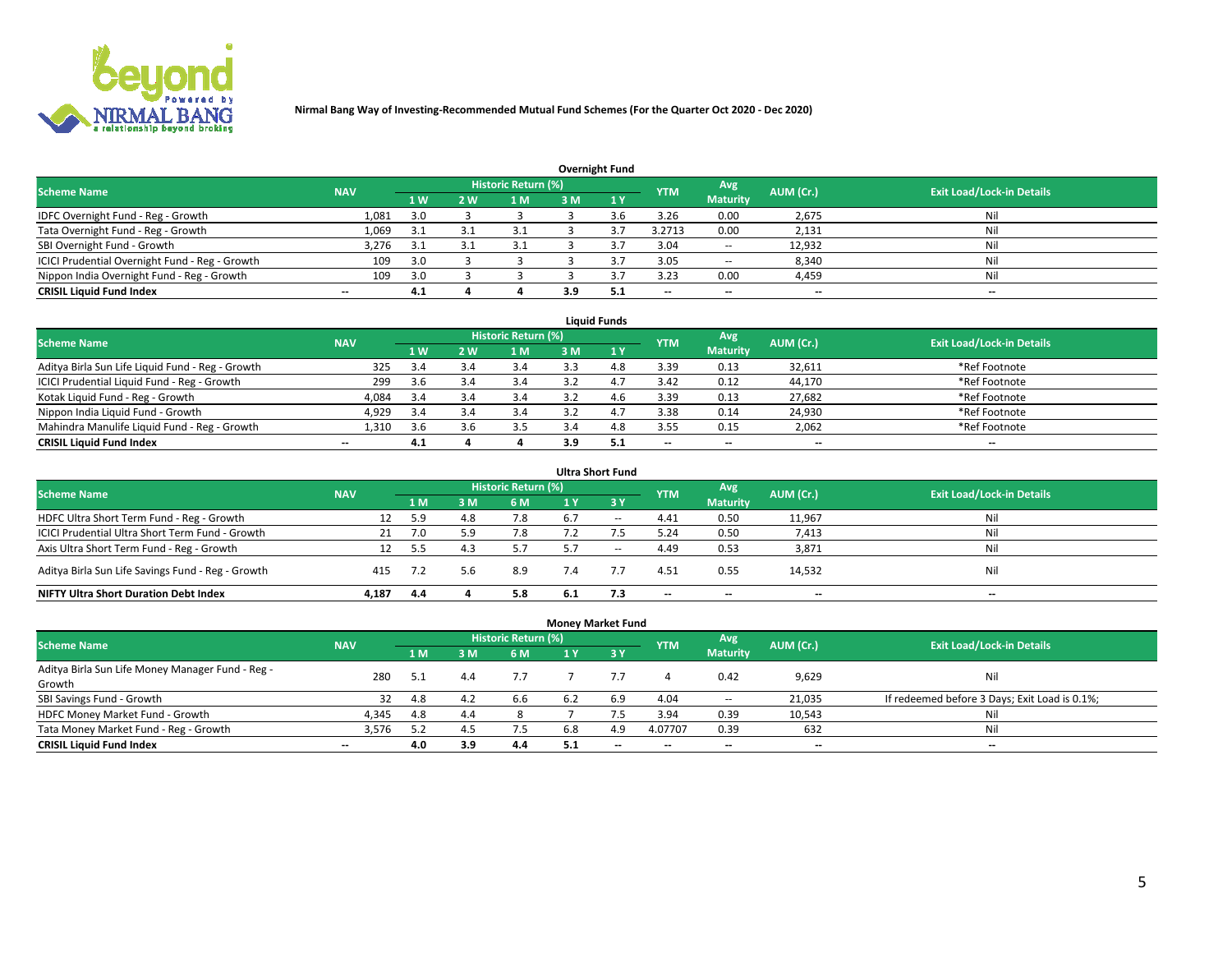

| <b>Overnight Fund</b>                          |            |      |     |                            |     |     |                          |                   |           |                                  |  |  |  |
|------------------------------------------------|------------|------|-----|----------------------------|-----|-----|--------------------------|-------------------|-----------|----------------------------------|--|--|--|
| <b>Scheme Name</b>                             | <b>NAV</b> |      |     | <b>Historic Return (%)</b> |     |     | <b>YTM</b>               | Avg               | AUM (Cr.) | <b>Exit Load/Lock-in Details</b> |  |  |  |
|                                                |            | 1 W  | 2 W | 1 M                        | 3M  |     |                          | <b>Maturity</b>   |           |                                  |  |  |  |
| IDFC Overnight Fund - Reg - Growth             | 1,081      | 3.0  |     |                            |     | 3.6 | 3.26                     | 0.00              | 2,675     | Nil                              |  |  |  |
| Tata Overnight Fund - Reg - Growth             | 1,069      | -3.1 |     | 3.1                        |     |     | 3.2713                   | 0.00              | 2,131     | Nil                              |  |  |  |
| SBI Overnight Fund - Growth                    | 3,276      | 3.1  |     | 3.1                        |     |     | 3.04                     | $\hspace{0.05cm}$ | 12,932    | Nil                              |  |  |  |
| ICICI Prudential Overnight Fund - Reg - Growth | 109        | 3.0  |     |                            |     |     | 3.05                     | $\hspace{0.05cm}$ | 8,340     | Nil                              |  |  |  |
| Nippon India Overnight Fund - Reg - Growth     | 109        | 3.0  |     |                            |     |     | 3.23                     | 0.00              | 4,459     | Nil                              |  |  |  |
| <b>CRISIL Liquid Fund Index</b>                | $-$        | 4.1  |     |                            | 3.9 |     | $\overline{\phantom{a}}$ | $- -$             | $- -$     | $- -$                            |  |  |  |

| <b>Liquid Funds</b>                              |                          |     |     |                            |     |     |                          |                 |           |                                  |  |  |  |
|--------------------------------------------------|--------------------------|-----|-----|----------------------------|-----|-----|--------------------------|-----------------|-----------|----------------------------------|--|--|--|
| <b>Scheme Name</b>                               | <b>NAV</b>               |     |     | <b>Historic Return (%)</b> |     |     | <b>YTM</b>               | Avg             | AUM (Cr.) | <b>Exit Load/Lock-in Details</b> |  |  |  |
|                                                  |                          | 1W  | 2 W | 1 <sub>M</sub>             | 3M  | 1Y  |                          | <b>Maturity</b> |           |                                  |  |  |  |
| Aditya Birla Sun Life Liquid Fund - Reg - Growth | 325                      | 3.4 |     | 3.4                        | 3.3 | 4.8 | 3.39                     | 0.13            | 32,611    | *Ref Footnote                    |  |  |  |
| ICICI Prudential Liquid Fund - Reg - Growth      | 299                      | 3.6 | 3.4 | 3.4                        | 3.2 | 4., | 3.42                     | 0.12            | 44,170    | *Ref Footnote                    |  |  |  |
| Kotak Liquid Fund - Reg - Growth                 | 4,084                    | 3.4 |     | 3.4                        |     | 4.b | 3.39                     | 0.13            | 27,682    | *Ref Footnote                    |  |  |  |
| Nippon India Liquid Fund - Growth                | 4,929                    | 3.4 |     | 3.4                        |     | 4., | 3.38                     | 0.14            | 24,930    | *Ref Footnote                    |  |  |  |
| Mahindra Manulife Liquid Fund - Reg - Growth     | 1.310                    | 3.6 |     | 3.5                        |     | 4.8 | 3.55                     | 0.15            | 2,062     | *Ref Footnote                    |  |  |  |
| <b>CRISIL Liquid Fund Index</b>                  | $\overline{\phantom{a}}$ | 4.1 |     |                            | 3.9 |     | $\overline{\phantom{a}}$ | $- -$           | $- -$     | $\overline{\phantom{a}}$         |  |  |  |

| <b>Ultra Short Fund</b>                                                                                                              |       |      |     |     |     |        |       |                 |        |     |  |  |  |  |
|--------------------------------------------------------------------------------------------------------------------------------------|-------|------|-----|-----|-----|--------|-------|-----------------|--------|-----|--|--|--|--|
| <b>Historic Return (%)</b><br>Avg<br><b>Exit Load/Lock-in Details</b><br><b>Scheme Name</b><br>AUM (Cr.)<br><b>NAV</b><br><b>YTM</b> |       |      |     |     |     |        |       |                 |        |     |  |  |  |  |
|                                                                                                                                      |       | 1 M  | 3 M | 6 M | 1 Y | $-3V$  |       | <b>Maturity</b> |        |     |  |  |  |  |
| HDFC Ultra Short Term Fund - Reg - Growth                                                                                            |       | -5.9 | 4.8 | 7.8 | 6.7 | $\sim$ | 4.41  | 0.50            | 11,967 | Nil |  |  |  |  |
| ICICI Prudential Ultra Short Term Fund - Growth                                                                                      | 21    |      |     | 7.8 |     |        | 5.24  | 0.50            | 7,413  | Nil |  |  |  |  |
| Axis Ultra Short Term Fund - Reg - Growth                                                                                            |       | 5.5  | 4.3 | 5.7 | 5.7 | $-$    | 4.49  | 0.53            | 3,871  | Nil |  |  |  |  |
| Aditya Birla Sun Life Savings Fund - Reg - Growth                                                                                    | 415   | 7.2  | 5.6 | 8.9 | 7.4 |        | 4.51  | 0.55            | 14,532 | Nil |  |  |  |  |
| <b>NIFTY Ultra Short Duration Debt Index</b>                                                                                         | 4.187 | 4.4  |     | 5.8 | 6.1 | 7.3    | $- -$ | $- -$           | $- -$  | $-$ |  |  |  |  |

| <b>Money Market Fund</b>                         |            |     |     |                     |     |              |                          |                          |           |                                               |  |  |  |  |
|--------------------------------------------------|------------|-----|-----|---------------------|-----|--------------|--------------------------|--------------------------|-----------|-----------------------------------------------|--|--|--|--|
| <b>Scheme Name</b>                               | <b>NAV</b> |     |     | Historic Return (%) |     |              | <b>YTM</b>               | Avg                      | AUM (Cr.) | <b>Exit Load/Lock-in Details</b>              |  |  |  |  |
|                                                  |            | 1 M | ោះ  | 6 M                 | 1 Y | $\sqrt{3}$ Y |                          | <b>Maturity</b>          |           |                                               |  |  |  |  |
| Aditya Birla Sun Life Money Manager Fund - Reg - | 280        |     | 4.4 | 7.7                 |     |              |                          | 0.42                     | 9,629     | Nil                                           |  |  |  |  |
| Growth                                           |            |     |     |                     |     |              |                          |                          |           |                                               |  |  |  |  |
| SBI Savings Fund - Growth                        | 32         | 4.8 | 4.2 | 6.6                 | 6.2 | 6.9          | 4.04                     | $\overline{\phantom{a}}$ | 21,035    | If redeemed before 3 Days; Exit Load is 0.1%; |  |  |  |  |
| HDFC Money Market Fund - Growth                  | 4,345      | 4.8 | 4.4 |                     |     |              | 3.94                     | 0.39                     | 10,543    | Nil                                           |  |  |  |  |
| Tata Money Market Fund - Reg - Growth            | 3,576      | 5.2 |     | 7.5                 | 6.8 | 4.9          | 4.07707                  | 0.39                     | 632       | Nil                                           |  |  |  |  |
| <b>CRISIL Liquid Fund Index</b>                  | $- -$      | 4.0 | 3.9 | 4.4                 | 5.1 | $-$          | $\overline{\phantom{a}}$ | $- -$                    | $- -$     | $-$                                           |  |  |  |  |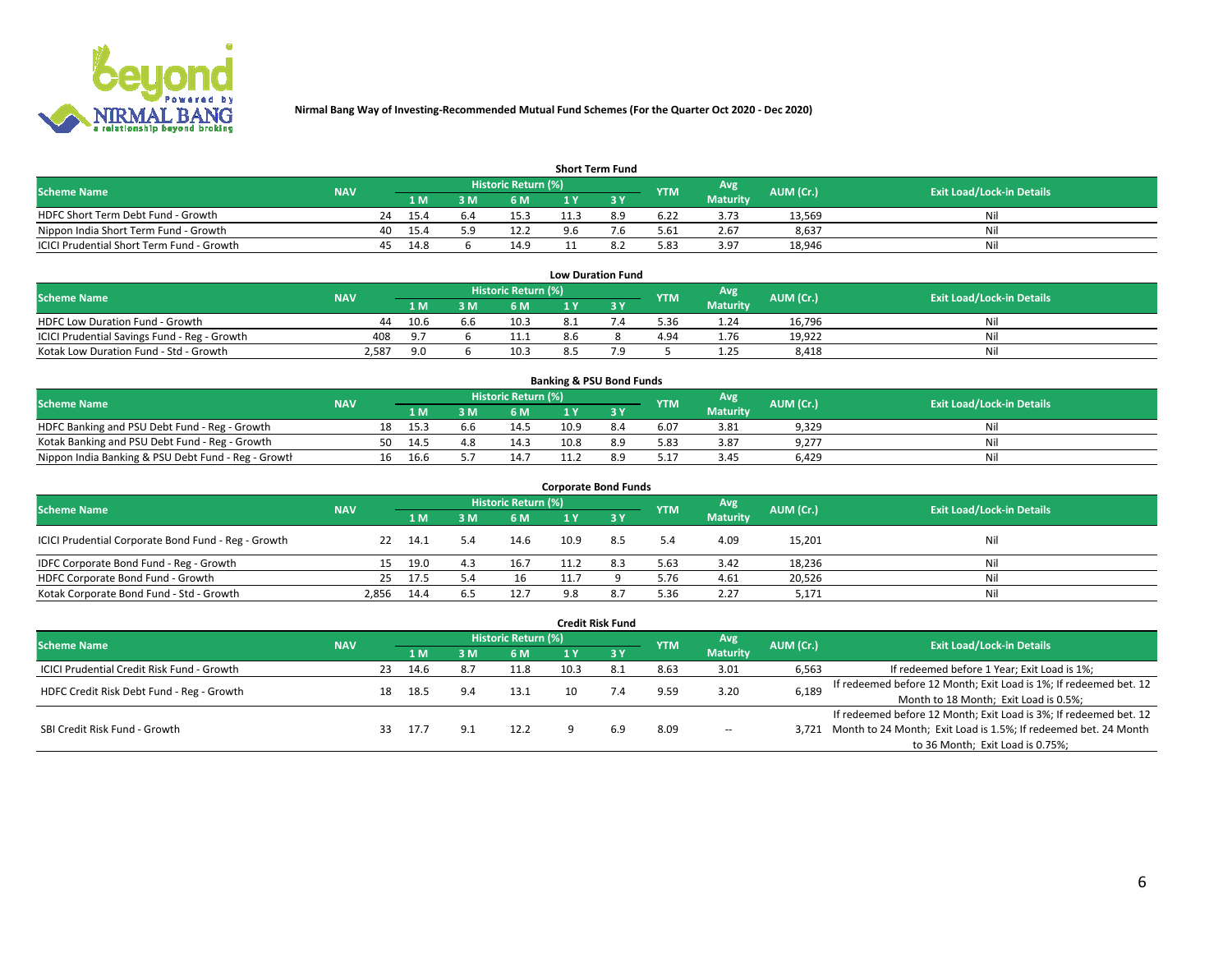

| <b>Short Term Fund</b>                    |            |    |      |     |                            |  |     |            |                 |           |                                  |  |  |  |
|-------------------------------------------|------------|----|------|-----|----------------------------|--|-----|------------|-----------------|-----------|----------------------------------|--|--|--|
| <b>Scheme Name</b>                        | <b>NAV</b> |    |      |     | <b>Historic Return (%)</b> |  |     | <b>YTM</b> | Avg             | AUM (Cr.) | <b>Exit Load/Lock-in Details</b> |  |  |  |
|                                           |            |    | 1 M  | 8 M | 6 M                        |  |     |            | <b>Maturity</b> |           |                                  |  |  |  |
| HDFC Short Term Debt Fund - Growth        |            | 24 | 15.4 | 6.4 | 15.3                       |  | 8.9 | 6.22       | 3.73            | 13.569    | Nil                              |  |  |  |
| Nippon India Short Term Fund - Growth     |            | 40 | 15.4 |     | 12.2                       |  |     | 5.61       | 2.67            | 8,637     | Nil                              |  |  |  |
| ICICI Prudential Short Term Fund - Growth |            | 45 | 14.8 |     | 14.9                       |  |     | 5.83       | 3.97            | 18.946    | Nil                              |  |  |  |

| <b>Low Duration Fund</b>                     |            |       |  |                                  |     |  |            |                 |           |                                  |  |  |  |
|----------------------------------------------|------------|-------|--|----------------------------------|-----|--|------------|-----------------|-----------|----------------------------------|--|--|--|
| <b>Scheme Name</b>                           | <b>NAV</b> |       |  | Historic Return (%) <sup> </sup> |     |  | <b>YTM</b> | Avg             | AUM (Cr.) | <b>Exit Load/Lock-in Details</b> |  |  |  |
|                                              |            | 1 M   |  | 6 M                              |     |  |            | <b>Maturity</b> |           |                                  |  |  |  |
| <b>HDFC Low Duration Fund - Growth</b>       | 44         | 10.6  |  | 10.3                             |     |  | 5.36       | 1.24            | 16.796    | Nil                              |  |  |  |
| ICICI Prudential Savings Fund - Reg - Growth | 408        | - Q 7 |  | 11.1                             | 8.b |  | 4.94       | 1.76            | 19,922    | Nil                              |  |  |  |
| Kotak Low Duration Fund - Std - Growth       | 2,587      | 9.0   |  | 10.3                             |     |  |            | 1.25            | 8,418     | Nil                              |  |  |  |

| <b>Banking &amp; PSU Bond Funds</b>                 |            |    |      |      |                     |      |     |            |                 |           |                                  |  |  |  |
|-----------------------------------------------------|------------|----|------|------|---------------------|------|-----|------------|-----------------|-----------|----------------------------------|--|--|--|
| <b>Scheme Name</b>                                  | <b>NAV</b> |    |      |      | Historic Return (%) |      |     | <b>YTM</b> | Avg             | AUM (Cr.) | <b>Exit Load/Lock-in Details</b> |  |  |  |
|                                                     |            |    | 1 M  |      | 6 M                 |      |     |            | <b>Maturity</b> |           |                                  |  |  |  |
| HDFC Banking and PSU Debt Fund - Reg - Growth       |            | 18 | 15.3 | .6.b | 14.5                | 10.9 | 8.4 | 6.07       | 3.81            | 9,329     | Nil                              |  |  |  |
| Kotak Banking and PSU Debt Fund - Reg - Growth      |            | 50 | 14.5 |      | 14.3                | 10.8 |     | 5.83       | 3.87            | 9,277     | Nil                              |  |  |  |
| Nippon India Banking & PSU Debt Fund - Reg - Growth |            | 16 | 16.6 |      | L4.7                |      |     | 5.17       | 3.45            | 6.429     | Nil                              |  |  |  |

| <b>Corporate Bond Funds</b>                         |            |      |     |                     |      |     |            |                 |           |                                  |  |
|-----------------------------------------------------|------------|------|-----|---------------------|------|-----|------------|-----------------|-----------|----------------------------------|--|
| <b>Scheme Name</b>                                  | <b>NAV</b> |      |     | Historic Return (%) |      |     | <b>YTM</b> | Avg             | AUM (Cr.) | <b>Exit Load/Lock-in Details</b> |  |
|                                                     |            | 1 M  | l M | 6 M                 | 1 Y  |     |            | <b>Maturity</b> |           |                                  |  |
| ICICI Prudential Corporate Bond Fund - Reg - Growth | 22         | 14.1 | 5.4 | 14.6                | 10.9 | 8.5 | 5.4        | 4.09            | 15,201    | Nil                              |  |
| IDFC Corporate Bond Fund - Reg - Growth             |            | 19.0 | 4.3 | 16.7                |      | 8.3 | 5.63       | 3.42            | 18,236    | Nil                              |  |
| HDFC Corporate Bond Fund - Growth                   | 25         | 17.5 | 5.4 | 16                  |      |     | 5.76       | 4.61            | 20,526    | Nil                              |  |
| Kotak Corporate Bond Fund - Std - Growth            | 2.856      | 14.4 | 6.5 | 12.7                |      | 8.7 | 5.36       | 2.27            | 5,171     | Nil                              |  |

|                                            |            |                     |      |     |      |      | <b>Credit Risk Fund</b> |            |                 |           |                                                                       |
|--------------------------------------------|------------|---------------------|------|-----|------|------|-------------------------|------------|-----------------|-----------|-----------------------------------------------------------------------|
| <b>Scheme Name</b>                         | <b>NAV</b> | Historic Return (%) |      |     |      |      |                         | <b>YTM</b> | Avg             | AUM (Cr.) | <b>Exit Load/Lock-in Details</b>                                      |
|                                            |            |                     | 1 M  | 3 M | 6 M  |      | $-3V$                   |            | <b>Maturity</b> |           |                                                                       |
| ICICI Prudential Credit Risk Fund - Growth |            | 23                  | 14.6 | 8.7 | 11.8 | 10.3 | 8.1                     | 8.63       | 3.01            | 6,563     | If redeemed before 1 Year; Exit Load is 1%;                           |
| HDFC Credit Risk Debt Fund - Reg - Growth  |            | 18                  | 18.5 | 9.4 | 13.1 | 10   | 7.4                     | 9.59       | 3.20            | 6,189     | If redeemed before 12 Month; Exit Load is 1%; If redeemed bet. 12     |
|                                            |            |                     |      |     |      |      |                         |            |                 |           | Month to 18 Month; Exit Load is 0.5%;                                 |
| SBI Credit Risk Fund - Growth              |            |                     |      |     |      |      |                         |            |                 |           | If redeemed before 12 Month; Exit Load is 3%; If redeemed bet. 12     |
|                                            |            | 33                  | 17.7 |     | 12.2 |      | 6.9                     | 8.09       | $\!-$           |           | 3,721 Month to 24 Month; Exit Load is 1.5%; If redeemed bet. 24 Month |
|                                            |            |                     |      |     |      |      |                         |            |                 |           | to 36 Month; Exit Load is 0.75%;                                      |